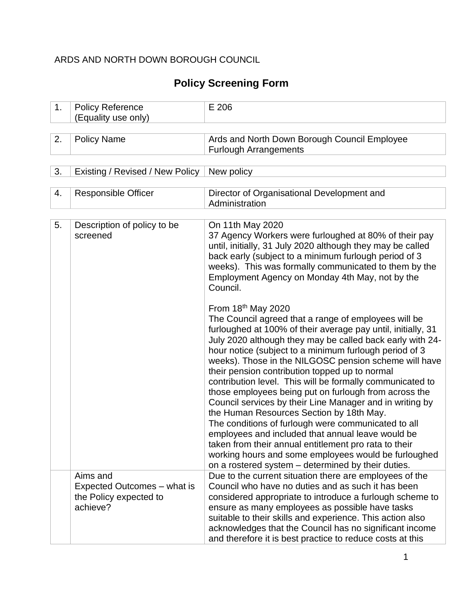### ARDS AND NORTH DOWN BOROUGH COUNCIL

# **Policy Screening Form**

| 1. | <b>Policy Reference</b><br>(Equality use only)                                | E 206                                                                                                                                                                                                                                                                                                                                                                                                                                                                                                                                                                                                                                                                                                                                                                                                                                                                                           |
|----|-------------------------------------------------------------------------------|-------------------------------------------------------------------------------------------------------------------------------------------------------------------------------------------------------------------------------------------------------------------------------------------------------------------------------------------------------------------------------------------------------------------------------------------------------------------------------------------------------------------------------------------------------------------------------------------------------------------------------------------------------------------------------------------------------------------------------------------------------------------------------------------------------------------------------------------------------------------------------------------------|
|    |                                                                               |                                                                                                                                                                                                                                                                                                                                                                                                                                                                                                                                                                                                                                                                                                                                                                                                                                                                                                 |
| 2. | <b>Policy Name</b>                                                            | Ards and North Down Borough Council Employee<br><b>Furlough Arrangements</b>                                                                                                                                                                                                                                                                                                                                                                                                                                                                                                                                                                                                                                                                                                                                                                                                                    |
|    |                                                                               |                                                                                                                                                                                                                                                                                                                                                                                                                                                                                                                                                                                                                                                                                                                                                                                                                                                                                                 |
| 3. | Existing / Revised / New Policy                                               | New policy                                                                                                                                                                                                                                                                                                                                                                                                                                                                                                                                                                                                                                                                                                                                                                                                                                                                                      |
|    |                                                                               |                                                                                                                                                                                                                                                                                                                                                                                                                                                                                                                                                                                                                                                                                                                                                                                                                                                                                                 |
| 4. | <b>Responsible Officer</b>                                                    | Director of Organisational Development and<br>Administration                                                                                                                                                                                                                                                                                                                                                                                                                                                                                                                                                                                                                                                                                                                                                                                                                                    |
|    |                                                                               |                                                                                                                                                                                                                                                                                                                                                                                                                                                                                                                                                                                                                                                                                                                                                                                                                                                                                                 |
| 5. | Description of policy to be<br>screened                                       | On 11th May 2020<br>37 Agency Workers were furloughed at 80% of their pay<br>until, initially, 31 July 2020 although they may be called<br>back early (subject to a minimum furlough period of 3<br>weeks). This was formally communicated to them by the<br>Employment Agency on Monday 4th May, not by the<br>Council.                                                                                                                                                                                                                                                                                                                                                                                                                                                                                                                                                                        |
|    |                                                                               | From $18th$ May 2020<br>The Council agreed that a range of employees will be<br>furloughed at 100% of their average pay until, initially, 31<br>July 2020 although they may be called back early with 24-<br>hour notice (subject to a minimum furlough period of 3<br>weeks). Those in the NILGOSC pension scheme will have<br>their pension contribution topped up to normal<br>contribution level. This will be formally communicated to<br>those employees being put on furlough from across the<br>Council services by their Line Manager and in writing by<br>the Human Resources Section by 18th May.<br>The conditions of furlough were communicated to all<br>employees and included that annual leave would be<br>taken from their annual entitlement pro rata to their<br>working hours and some employees would be furloughed<br>on a rostered system - determined by their duties. |
|    | Aims and<br>Expected Outcomes - what is<br>the Policy expected to<br>achieve? | Due to the current situation there are employees of the<br>Council who have no duties and as such it has been<br>considered appropriate to introduce a furlough scheme to<br>ensure as many employees as possible have tasks<br>suitable to their skills and experience. This action also<br>acknowledges that the Council has no significant income<br>and therefore it is best practice to reduce costs at this                                                                                                                                                                                                                                                                                                                                                                                                                                                                               |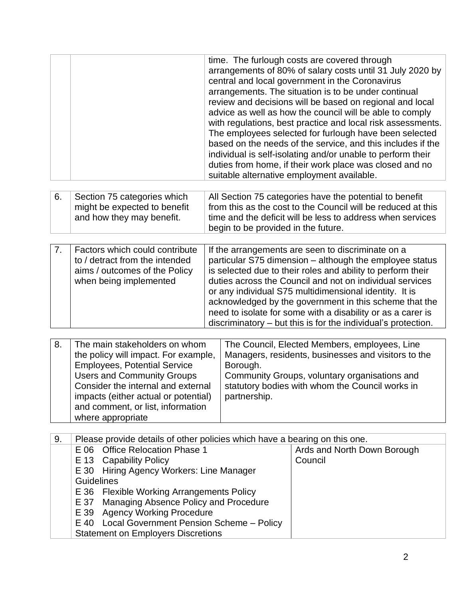|  | time. The furlough costs are covered through<br>arrangements of 80% of salary costs until 31 July 2020 by<br>central and local government in the Coronavirus<br>arrangements. The situation is to be under continual<br>review and decisions will be based on regional and local<br>advice as well as how the council will be able to comply<br>with regulations, best practice and local risk assessments.<br>The employees selected for furlough have been selected<br>based on the needs of the service, and this includes if the<br>individual is self-isolating and/or unable to perform their<br>duties from home, if their work place was closed and no<br>suitable alternative employment available. |
|--|--------------------------------------------------------------------------------------------------------------------------------------------------------------------------------------------------------------------------------------------------------------------------------------------------------------------------------------------------------------------------------------------------------------------------------------------------------------------------------------------------------------------------------------------------------------------------------------------------------------------------------------------------------------------------------------------------------------|
|--|--------------------------------------------------------------------------------------------------------------------------------------------------------------------------------------------------------------------------------------------------------------------------------------------------------------------------------------------------------------------------------------------------------------------------------------------------------------------------------------------------------------------------------------------------------------------------------------------------------------------------------------------------------------------------------------------------------------|

| 6. | Section 75 categories which  | All Section 75 categories have the potential to benefit      |
|----|------------------------------|--------------------------------------------------------------|
|    | might be expected to benefit | from this as the cost to the Council will be reduced at this |
|    | and how they may benefit.    | time and the deficit will be less to address when services   |
|    |                              | begin to be provided in the future.                          |

| Factors which could contribute<br>to / detract from the intended<br>aims / outcomes of the Policy<br>when being implemented | If the arrangements are seen to discriminate on a<br>particular S75 dimension – although the employee status<br>is selected due to their roles and ability to perform their<br>duties across the Council and not on individual services<br>or any individual S75 multidimensional identity. It is<br>acknowledged by the government in this scheme that the<br>need to isolate for some with a disability or as a carer is<br>discriminatory – but this is for the individual's protection. |
|-----------------------------------------------------------------------------------------------------------------------------|---------------------------------------------------------------------------------------------------------------------------------------------------------------------------------------------------------------------------------------------------------------------------------------------------------------------------------------------------------------------------------------------------------------------------------------------------------------------------------------------|

| 8. | The main stakeholders on whom        | The Council, Elected Members, employees, Line       |
|----|--------------------------------------|-----------------------------------------------------|
|    | the policy will impact. For example, | Managers, residents, businesses and visitors to the |
|    | <b>Employees, Potential Service</b>  | Borough.                                            |
|    | <b>Users and Community Groups</b>    | Community Groups, voluntary organisations and       |
|    | Consider the internal and external   | statutory bodies with whom the Council works in     |
|    | impacts (either actual or potential) | partnership.                                        |
|    | and comment, or list, information    |                                                     |
|    | where appropriate                    |                                                     |

| 9. | Please provide details of other policies which have a bearing on this one. |                             |  |  |  |  |  |  |  |
|----|----------------------------------------------------------------------------|-----------------------------|--|--|--|--|--|--|--|
|    | E 06 Office Relocation Phase 1                                             | Ards and North Down Borough |  |  |  |  |  |  |  |
|    | E 13 Capability Policy                                                     | Council                     |  |  |  |  |  |  |  |
|    | E 30 Hiring Agency Workers: Line Manager                                   |                             |  |  |  |  |  |  |  |
|    | <b>Guidelines</b>                                                          |                             |  |  |  |  |  |  |  |
|    | E 36 Flexible Working Arrangements Policy                                  |                             |  |  |  |  |  |  |  |
|    | E 37 Managing Absence Policy and Procedure                                 |                             |  |  |  |  |  |  |  |
|    | E 39 Agency Working Procedure                                              |                             |  |  |  |  |  |  |  |
|    | E 40 Local Government Pension Scheme - Policy                              |                             |  |  |  |  |  |  |  |
|    | <b>Statement on Employers Discretions</b>                                  |                             |  |  |  |  |  |  |  |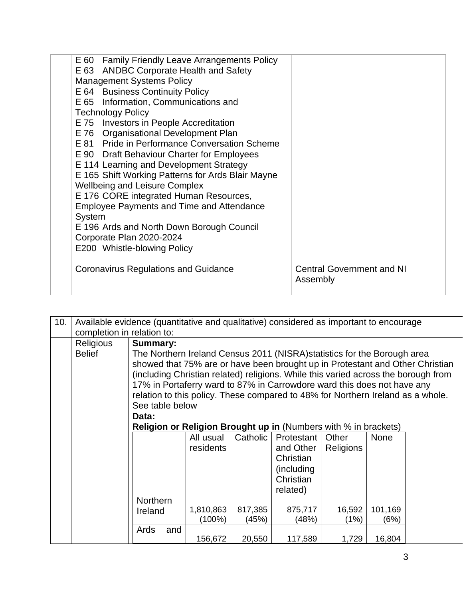| E 60 Family Friendly Leave Arrangements Policy<br>E 63 ANDBC Corporate Health and Safety<br><b>Management Systems Policy</b><br>E 64 Business Continuity Policy<br>E 65 Information, Communications and<br><b>Technology Policy</b><br>E 75 Investors in People Accreditation<br>E 76 Organisational Development Plan<br>E 81 Pride in Performance Conversation Scheme<br>E 90 Draft Behaviour Charter for Employees<br>E 114 Learning and Development Strategy<br>E 165 Shift Working Patterns for Ards Blair Mayne<br><b>Wellbeing and Leisure Complex</b><br>E 176 CORE integrated Human Resources,<br>Employee Payments and Time and Attendance<br>System<br>E 196 Ards and North Down Borough Council<br>Corporate Plan 2020-2024<br>E200 Whistle-blowing Policy |                                              |
|-----------------------------------------------------------------------------------------------------------------------------------------------------------------------------------------------------------------------------------------------------------------------------------------------------------------------------------------------------------------------------------------------------------------------------------------------------------------------------------------------------------------------------------------------------------------------------------------------------------------------------------------------------------------------------------------------------------------------------------------------------------------------|----------------------------------------------|
| <b>Coronavirus Regulations and Guidance</b>                                                                                                                                                                                                                                                                                                                                                                                                                                                                                                                                                                                                                                                                                                                           | <b>Central Government and NI</b><br>Assembly |

| 10. |                            | Available evidence (quantitative and qualitative) considered as important to encourage           |                                                                                 |          |            |                  |             |  |  |  |  |  |  |  |
|-----|----------------------------|--------------------------------------------------------------------------------------------------|---------------------------------------------------------------------------------|----------|------------|------------------|-------------|--|--|--|--|--|--|--|
|     | completion in relation to: |                                                                                                  |                                                                                 |          |            |                  |             |  |  |  |  |  |  |  |
|     | Religious                  | Summary:                                                                                         |                                                                                 |          |            |                  |             |  |  |  |  |  |  |  |
|     | <b>Belief</b>              | The Northern Ireland Census 2011 (NISRA) statistics for the Borough area                         |                                                                                 |          |            |                  |             |  |  |  |  |  |  |  |
|     |                            | showed that 75% are or have been brought up in Protestant and Other Christian                    |                                                                                 |          |            |                  |             |  |  |  |  |  |  |  |
|     |                            | (including Christian related) religions. While this varied across the borough from               |                                                                                 |          |            |                  |             |  |  |  |  |  |  |  |
|     |                            | 17% in Portaferry ward to 87% in Carrowdore ward this does not have any                          |                                                                                 |          |            |                  |             |  |  |  |  |  |  |  |
|     |                            |                                                                                                  | relation to this policy. These compared to 48% for Northern Ireland as a whole. |          |            |                  |             |  |  |  |  |  |  |  |
|     |                            |                                                                                                  |                                                                                 |          |            |                  |             |  |  |  |  |  |  |  |
|     |                            | See table below                                                                                  |                                                                                 |          |            |                  |             |  |  |  |  |  |  |  |
|     |                            | Data:                                                                                            |                                                                                 |          |            |                  |             |  |  |  |  |  |  |  |
|     |                            | <b>Religion or Religion Brought up in (Numbers with % in brackets)</b>                           |                                                                                 |          |            |                  |             |  |  |  |  |  |  |  |
|     |                            |                                                                                                  | All usual                                                                       | Catholic | Protestant | Other            | <b>None</b> |  |  |  |  |  |  |  |
|     |                            |                                                                                                  | residents                                                                       |          | and Other  | <b>Religions</b> |             |  |  |  |  |  |  |  |
|     |                            |                                                                                                  |                                                                                 |          | Christian  |                  |             |  |  |  |  |  |  |  |
|     |                            |                                                                                                  |                                                                                 |          | (including |                  |             |  |  |  |  |  |  |  |
|     |                            |                                                                                                  |                                                                                 |          | Christian  |                  |             |  |  |  |  |  |  |  |
|     |                            |                                                                                                  |                                                                                 |          | related)   |                  |             |  |  |  |  |  |  |  |
|     |                            | <b>Northern</b>                                                                                  |                                                                                 |          |            |                  |             |  |  |  |  |  |  |  |
|     |                            | 101,169                                                                                          |                                                                                 |          |            |                  |             |  |  |  |  |  |  |  |
|     |                            | 1,810,863<br>817,385<br>16,592<br>875,717<br>Ireland<br>(100%)<br>(45%)<br>(1%)<br>(48%)<br>(6%) |                                                                                 |          |            |                  |             |  |  |  |  |  |  |  |
|     |                            |                                                                                                  |                                                                                 |          |            |                  |             |  |  |  |  |  |  |  |
|     |                            | Ards<br>and                                                                                      |                                                                                 |          |            | 1,729            | 16,804      |  |  |  |  |  |  |  |
|     |                            |                                                                                                  | 156,672                                                                         | 20,550   | 117,589    |                  |             |  |  |  |  |  |  |  |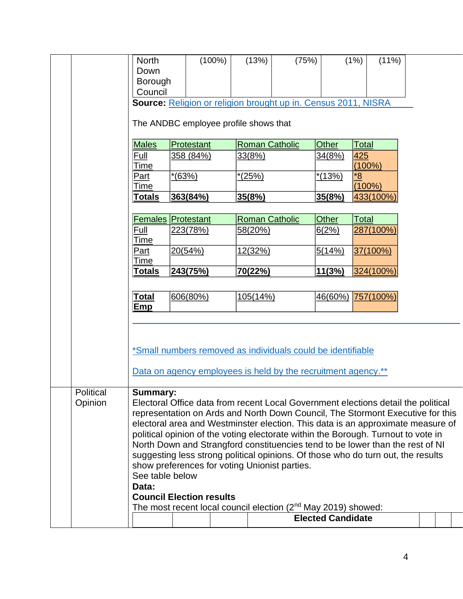|           | North               |                                       | $(100\%)$ | (13%)          | (75%)                                                                     |                          | (1%)<br>$(11\%)$                                                                                                                                                  |  |  |
|-----------|---------------------|---------------------------------------|-----------|----------------|---------------------------------------------------------------------------|--------------------------|-------------------------------------------------------------------------------------------------------------------------------------------------------------------|--|--|
|           | Down                |                                       |           |                |                                                                           |                          |                                                                                                                                                                   |  |  |
|           | Borough             |                                       |           |                |                                                                           |                          |                                                                                                                                                                   |  |  |
|           | Council             |                                       |           |                |                                                                           |                          |                                                                                                                                                                   |  |  |
|           |                     |                                       |           |                | Source: Religion or religion brought up in. Census 2011, NISRA            |                          |                                                                                                                                                                   |  |  |
|           |                     | The ANDBC employee profile shows that |           |                |                                                                           |                          |                                                                                                                                                                   |  |  |
|           |                     |                                       |           |                |                                                                           |                          |                                                                                                                                                                   |  |  |
|           | <b>Males</b>        | Protestant                            |           |                | <b>Roman Catholic</b>                                                     | Other                    | Total                                                                                                                                                             |  |  |
|           | Full<br><u>Time</u> | 358 (84%)                             |           | 33(8%)         |                                                                           | 34(8%)                   | 425<br>$(100\%)$                                                                                                                                                  |  |  |
|           | <u>Part</u>         | *(63%)                                |           | $*(25%)$       |                                                                           | $*(13%)$                 | *8                                                                                                                                                                |  |  |
|           | Time                |                                       |           |                |                                                                           |                          | $(100\%)$                                                                                                                                                         |  |  |
|           | <b>Totals</b>       | 363(84%)                              |           | 35(8%)         |                                                                           | 35(8%)                   | 433(100%)                                                                                                                                                         |  |  |
|           |                     |                                       |           |                |                                                                           |                          |                                                                                                                                                                   |  |  |
|           |                     | <b>Females Protestant</b>             |           |                | <b>Roman Catholic</b>                                                     | Other                    | Total                                                                                                                                                             |  |  |
|           | Full<br>Time        | 223(78%)                              |           | 58(20%)        |                                                                           | 6(2%)                    | 287(100%)                                                                                                                                                         |  |  |
|           | <b>Part</b>         | 20(54%)                               |           | <u>12(32%)</u> |                                                                           | 5(14%)                   | 37(100%)                                                                                                                                                          |  |  |
|           | Time                |                                       |           |                |                                                                           |                          |                                                                                                                                                                   |  |  |
|           | <u>Totals</u>       | 243(75%)                              |           | 70(22%)        |                                                                           | 11(3%)                   | 324(100%)                                                                                                                                                         |  |  |
|           |                     |                                       |           |                |                                                                           |                          |                                                                                                                                                                   |  |  |
|           | <u>Total</u>        | 606(80%)                              |           | 105(14%)       |                                                                           | 46(60%)                  | 757(100%)                                                                                                                                                         |  |  |
|           | Emp                 |                                       |           |                |                                                                           |                          |                                                                                                                                                                   |  |  |
|           |                     |                                       |           |                |                                                                           |                          |                                                                                                                                                                   |  |  |
|           |                     |                                       |           |                |                                                                           |                          |                                                                                                                                                                   |  |  |
|           |                     |                                       |           |                | *Small numbers removed as individuals could be identifiable               |                          |                                                                                                                                                                   |  |  |
|           |                     |                                       |           |                |                                                                           |                          |                                                                                                                                                                   |  |  |
|           |                     |                                       |           |                | Data on agency employees is held by the recruitment agency.**             |                          |                                                                                                                                                                   |  |  |
| Political | <b>Summary:</b>     |                                       |           |                |                                                                           |                          |                                                                                                                                                                   |  |  |
| Opinion   |                     |                                       |           |                |                                                                           |                          | Electoral Office data from recent Local Government elections detail the political                                                                                 |  |  |
|           |                     |                                       |           |                |                                                                           |                          | representation on Ards and North Down Council, The Stormont Executive for this                                                                                    |  |  |
|           |                     |                                       |           |                |                                                                           |                          | electoral area and Westminster election. This data is an approximate measure of                                                                                   |  |  |
|           |                     |                                       |           |                |                                                                           |                          | political opinion of the voting electorate within the Borough. Turnout to vote in                                                                                 |  |  |
|           |                     |                                       |           |                |                                                                           |                          | North Down and Strangford constituencies tend to be lower than the rest of NI<br>suggesting less strong political opinions. Of those who do turn out, the results |  |  |
|           |                     |                                       |           |                | show preferences for voting Unionist parties.                             |                          |                                                                                                                                                                   |  |  |
|           | See table below     |                                       |           |                |                                                                           |                          |                                                                                                                                                                   |  |  |
|           | Data:               |                                       |           |                |                                                                           |                          |                                                                                                                                                                   |  |  |
|           |                     | <b>Council Election results</b>       |           |                |                                                                           |                          |                                                                                                                                                                   |  |  |
|           |                     |                                       |           |                | The most recent local council election (2 <sup>nd</sup> May 2019) showed: |                          |                                                                                                                                                                   |  |  |
|           |                     |                                       |           |                |                                                                           | <b>Elected Candidate</b> |                                                                                                                                                                   |  |  |
|           |                     |                                       |           |                |                                                                           |                          |                                                                                                                                                                   |  |  |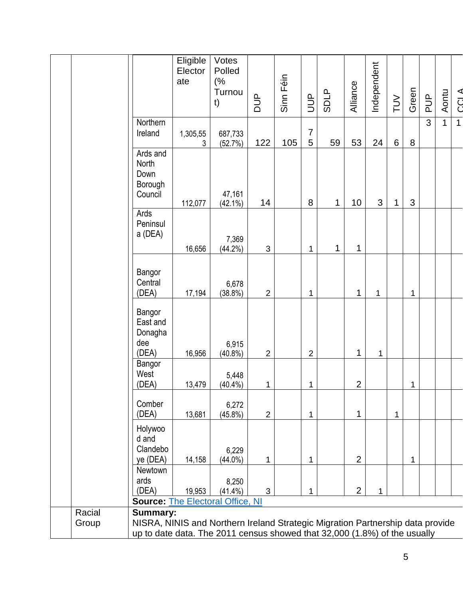|                 |                                                                                                                                                                                | Eligible<br>Elector<br>ate | Votes<br>Polled<br>(%<br>Turnou<br>t) | <b>AUD</b>     | Sinn Féin | $\overline{5}$      | <b>SDLP</b> | Alliance       | Independent | $\geq$         | Green        | $\frac{p}{q}$ | Aontu        | <b>CCLA</b>    |
|-----------------|--------------------------------------------------------------------------------------------------------------------------------------------------------------------------------|----------------------------|---------------------------------------|----------------|-----------|---------------------|-------------|----------------|-------------|----------------|--------------|---------------|--------------|----------------|
|                 | Northern<br>Ireland                                                                                                                                                            | 1,305,55<br>3              | 687,733<br>(52.7%)                    | 122            | 105       | $\overline{7}$<br>5 | 59          | 53             | 24          | $6\phantom{1}$ | $\,8\,$      | 3             | $\mathbf{1}$ | $\overline{1}$ |
|                 | Ards and<br>North<br>Down<br>Borough<br>Council                                                                                                                                | 112,077                    | 47,161<br>$(42.1\%)$                  | 14             |           | 8                   | 1           | 10             | 3           | 1              | $\mathbf{3}$ |               |              |                |
|                 | Ards<br>Peninsul<br>a (DEA)                                                                                                                                                    | 16,656                     | 7,369<br>$(44.2\%)$                   | $\mathfrak{S}$ |           | 1                   | 1           | 1              |             |                |              |               |              |                |
|                 | Bangor<br>Central<br>(DEA)                                                                                                                                                     | 17,194                     | 6,678<br>$(38.8\%)$                   | $\overline{2}$ |           | 1                   |             | 1              | 1           |                | 1            |               |              |                |
|                 | Bangor<br>East and<br>Donagha<br>dee<br>(DEA)                                                                                                                                  | 16,956                     | 6,915<br>$(40.8\%)$                   | $\overline{2}$ |           | $\overline{2}$      |             | 1              | $\mathbf 1$ |                |              |               |              |                |
|                 | Bangor<br>West<br>(DEA)                                                                                                                                                        | 13,479                     | 5,448<br>$(40.4\%)$                   | 1              |           | 1                   |             | $\overline{2}$ |             |                | 1            |               |              |                |
|                 | Comber<br>(DEA)                                                                                                                                                                | 13,681                     | 6,272<br>$(45.8\%)$                   | $\overline{2}$ |           | $\mathbf{1}$        |             | $\mathbf{1}$   |             | 1              |              |               |              |                |
|                 | Holywoo<br>d and<br>Clandebo<br>ye (DEA)                                                                                                                                       | 14,158                     | 6,229<br>$(44.0\%)$                   | 1              |           | 1                   |             | 2              |             |                | 1            |               |              |                |
|                 | Newtown<br>ards<br>(DEA)<br><b>Source: The Electoral Office, NI</b>                                                                                                            | 19,953                     | 8,250<br>$(41.4\%)$                   | $\mathfrak{S}$ |           | 1                   |             | $\overline{2}$ | 1           |                |              |               |              |                |
| Racial<br>Group | <b>Summary:</b><br>NISRA, NINIS and Northern Ireland Strategic Migration Partnership data provide<br>up to date data. The 2011 census showed that 32,000 (1.8%) of the usually |                            |                                       |                |           |                     |             |                |             |                |              |               |              |                |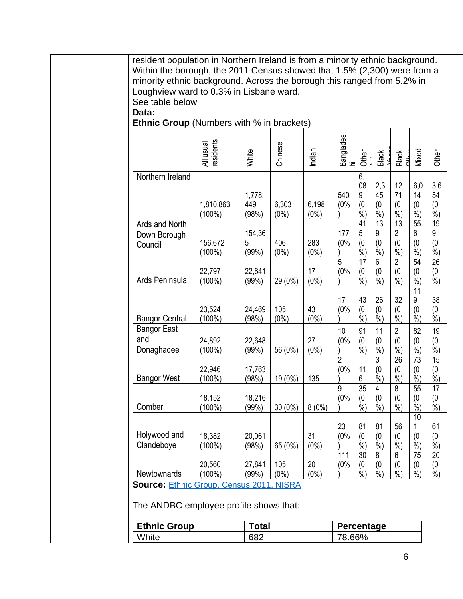|                                           | <b>Ethnic Group</b> (Numbers with % in brackets) |                        |                  |                  |                       |                                 |                                |                                      |
|-------------------------------------------|--------------------------------------------------|------------------------|------------------|------------------|-----------------------|---------------------------------|--------------------------------|--------------------------------------|
|                                           | All usual<br>residents                           | White                  | Chinese          | Indian           | Banglades<br>hi       | Other                           | Black                          | Black<br>Other                       |
| Northern Ireland                          |                                                  |                        |                  |                  |                       | 6,<br>08                        | 2,3                            | 12                                   |
|                                           | 1,810,863<br>$(100\%)$                           | 1,778,<br>449<br>(98%) | 6,303<br>$(0\%)$ | 6,198<br>$(0\%)$ | 540<br>(0%            | 9<br>(0)<br>$\frac{6}{6}$       | 45<br>(0)<br>$\frac{6}{6}$     | 71<br>(0)<br>$\frac{6}{6}$           |
| Ards and North<br>Down Borough<br>Council | 156,672<br>$(100\%)$                             | 154,36<br>5<br>(99%)   | 406<br>$(0\%)$   | 283<br>$(0\%)$   | 177<br>(0%            | 41<br>5<br>(0)<br>$%$ )         | 13<br>9<br>(0)<br>%            | 13<br>$\overline{2}$<br>(0)<br>$%$ ) |
| Ards Peninsula                            | 22,797<br>$(100\%)$                              | 22,641<br>(99%)        | 29 (0%)          | 17<br>$(0\%)$    | 5<br>(0%              | $\overline{17}$<br>(0)<br>$%$ ) | $6\phantom{1}$<br>(0)<br>$%$ ) | $\overline{2}$<br>(0)<br>$%$ )       |
| <b>Bangor Central</b>                     | 23,524<br>$(100\%)$                              | 24,469<br>(98%)        | 105<br>$(0\%)$   | 43<br>$(0\%)$    | 17<br>(0%             | 43<br>(0)<br>$\frac{6}{6}$      | 26<br>(0)<br>$\frac{6}{6}$     | 32<br>(0)<br>$\dot{\%}$              |
| <b>Bangor East</b><br>and<br>Donaghadee   | 24,892<br>$(100\%)$                              | 22,648<br>(99%)        | 56 (0%)          | 27<br>$(0\%)$    | 10<br>(0%             | 91<br>(0)<br>$\frac{6}{6}$      | 11<br>(0)<br>$\dot{\%}$        | $\overline{2}$<br>(0)<br>$\dot{\%}$  |
| <b>Bangor West</b>                        | 22,946<br>$(100\%)$                              | 17,763<br>(98%)        | 19 (0%)          | 135              | $\overline{2}$<br>(0% | 11<br>6                         | $\overline{3}$<br>(0)<br>$%$ ) | 26<br>(0)<br>$%$ )                   |
| Comber                                    | 18,152<br>$(100\%)$                              | 18,216<br>(99%)        | $30(0\%)$        | 8(0%)            | 9<br>(0%              | $\overline{35}$<br>(0)<br>$%$ ) | 4<br>(0)<br>$%$ )              | 8<br>(0)<br>$\frac{6}{6}$            |
| Holywood and<br>Clandeboye                | 18,382<br>$(100\%)$                              | 20,061<br>(98%)        | 65 (0%)          | 31<br>$(0\%)$    | 23<br>(0%             | 81<br>(0)<br>$%$ )              | 81<br>(0)<br>$%$ )             | 56<br>(0)<br>$%$ )                   |
| Newtownards                               | 20,560<br>$(100\%)$                              | 27,841<br>(99%)        | 105<br>$(0\%)$   | 20<br>$(0\%)$    | 111<br>(0%            | 30<br>(0)<br>$%$ )              | 8<br>(0)<br>$%$ )              | 6<br>(0)<br>$%$ )                    |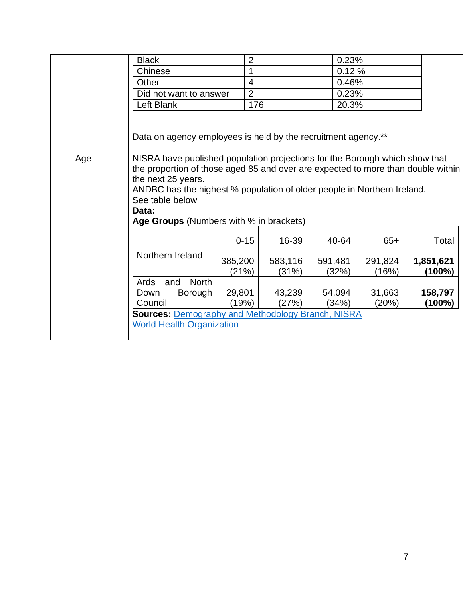|     | <b>Black</b>                                                                                                                                                                                                                                                                                                                            | $\overline{2}$   |                  | 0.23%            |                  |                     |
|-----|-----------------------------------------------------------------------------------------------------------------------------------------------------------------------------------------------------------------------------------------------------------------------------------------------------------------------------------------|------------------|------------------|------------------|------------------|---------------------|
|     | Chinese                                                                                                                                                                                                                                                                                                                                 | 1                |                  | 0.12%            |                  |                     |
|     | Other                                                                                                                                                                                                                                                                                                                                   | $\overline{4}$   |                  | 0.46%            |                  |                     |
|     | Did not want to answer                                                                                                                                                                                                                                                                                                                  | $\overline{2}$   |                  | 0.23%            |                  |                     |
|     | Left Blank                                                                                                                                                                                                                                                                                                                              | 176              |                  | 20.3%            |                  |                     |
|     | Data on agency employees is held by the recruitment agency.**                                                                                                                                                                                                                                                                           |                  |                  |                  |                  |                     |
| Age | NISRA have published population projections for the Borough which show that<br>the proportion of those aged 85 and over are expected to more than double within<br>the next 25 years.<br>ANDBC has the highest % population of older people in Northern Ireland.<br>See table below<br>Data:<br>Age Groups (Numbers with % in brackets) |                  |                  |                  |                  |                     |
|     |                                                                                                                                                                                                                                                                                                                                         | $0 - 15$         | 16-39            | 40-64            | $65+$            | Total               |
|     | Northern Ireland                                                                                                                                                                                                                                                                                                                        | 385,200<br>(21%) | 583,116<br>(31%) | 591,481<br>(32%) | 291,824<br>(16%) | 1,851,621<br>(100%) |
|     | <b>North</b><br>Ards<br>and                                                                                                                                                                                                                                                                                                             |                  |                  |                  |                  |                     |
|     | Down<br>Borough                                                                                                                                                                                                                                                                                                                         | 29,801           | 43,239           | 54,094           | 31,663           | 158,797             |
|     | Council                                                                                                                                                                                                                                                                                                                                 | (19%)            | (27%)            | (34%)            | (20%)            | (100%)              |
|     | <b>Sources: Demography and Methodology Branch, NISRA</b><br><b>World Health Organization</b>                                                                                                                                                                                                                                            |                  |                  |                  |                  |                     |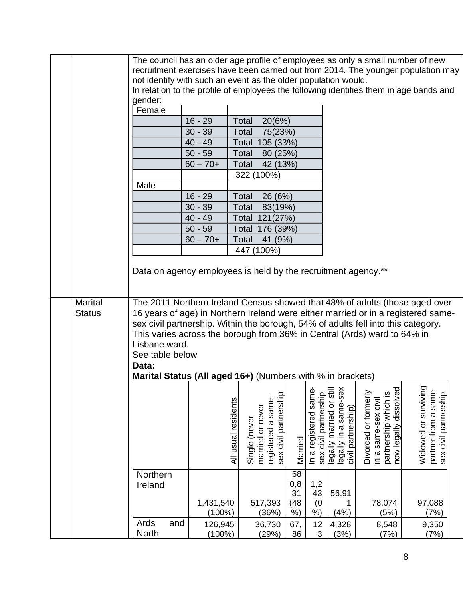|                | The council has an older age profile of employees as only a small number of new<br>recruitment exercises have been carried out from 2014. The younger population may<br>not identify with such an event as the older population would.<br>In relation to the profile of employees the following identifies them in age bands and |                                                                                                                                                               |                     |                                                                 |                                      |                                                |                                                                         |                                                                                              |                                                                                   |
|----------------|----------------------------------------------------------------------------------------------------------------------------------------------------------------------------------------------------------------------------------------------------------------------------------------------------------------------------------|---------------------------------------------------------------------------------------------------------------------------------------------------------------|---------------------|-----------------------------------------------------------------|--------------------------------------|------------------------------------------------|-------------------------------------------------------------------------|----------------------------------------------------------------------------------------------|-----------------------------------------------------------------------------------|
|                | gender:                                                                                                                                                                                                                                                                                                                          |                                                                                                                                                               |                     |                                                                 |                                      |                                                |                                                                         |                                                                                              |                                                                                   |
|                | Female                                                                                                                                                                                                                                                                                                                           |                                                                                                                                                               |                     |                                                                 |                                      |                                                |                                                                         |                                                                                              |                                                                                   |
|                |                                                                                                                                                                                                                                                                                                                                  | $16 - 29$                                                                                                                                                     | Total               | 20(6%)                                                          |                                      |                                                |                                                                         |                                                                                              |                                                                                   |
|                |                                                                                                                                                                                                                                                                                                                                  | $30 - 39$                                                                                                                                                     | Total               | 75(23%)                                                         |                                      |                                                |                                                                         |                                                                                              |                                                                                   |
|                |                                                                                                                                                                                                                                                                                                                                  | $40 - 49$                                                                                                                                                     | Total               | 105 (33%)                                                       |                                      |                                                |                                                                         |                                                                                              |                                                                                   |
|                |                                                                                                                                                                                                                                                                                                                                  | $50 - 59$<br>$60 - 70 +$                                                                                                                                      | Total               | 80 (25%)                                                        |                                      |                                                |                                                                         |                                                                                              |                                                                                   |
|                |                                                                                                                                                                                                                                                                                                                                  |                                                                                                                                                               | Total               | 42 (13%)<br>322 (100%)                                          |                                      |                                                |                                                                         |                                                                                              |                                                                                   |
|                | Male                                                                                                                                                                                                                                                                                                                             |                                                                                                                                                               |                     |                                                                 |                                      |                                                |                                                                         |                                                                                              |                                                                                   |
|                |                                                                                                                                                                                                                                                                                                                                  | $16 - 29$                                                                                                                                                     | Total               | 26 (6%)                                                         |                                      |                                                |                                                                         |                                                                                              |                                                                                   |
|                |                                                                                                                                                                                                                                                                                                                                  | $30 - 39$                                                                                                                                                     | Total               | 83(19%)                                                         |                                      |                                                |                                                                         |                                                                                              |                                                                                   |
|                |                                                                                                                                                                                                                                                                                                                                  | $40 - 49$                                                                                                                                                     | Total               | 121(27%)                                                        |                                      |                                                |                                                                         |                                                                                              |                                                                                   |
|                |                                                                                                                                                                                                                                                                                                                                  | $50 - 59$                                                                                                                                                     | Total               | 176 (39%)                                                       |                                      |                                                |                                                                         |                                                                                              |                                                                                   |
|                |                                                                                                                                                                                                                                                                                                                                  | $60 - 70 +$                                                                                                                                                   | Total               | 41 (9%)                                                         |                                      |                                                |                                                                         |                                                                                              |                                                                                   |
|                |                                                                                                                                                                                                                                                                                                                                  |                                                                                                                                                               |                     | 447 (100%)                                                      |                                      |                                                |                                                                         |                                                                                              |                                                                                   |
|                |                                                                                                                                                                                                                                                                                                                                  |                                                                                                                                                               |                     |                                                                 |                                      |                                                |                                                                         |                                                                                              |                                                                                   |
|                |                                                                                                                                                                                                                                                                                                                                  | Data on agency employees is held by the recruitment agency.**                                                                                                 |                     |                                                                 |                                      |                                                |                                                                         |                                                                                              |                                                                                   |
|                |                                                                                                                                                                                                                                                                                                                                  |                                                                                                                                                               |                     |                                                                 |                                      |                                                |                                                                         |                                                                                              |                                                                                   |
|                |                                                                                                                                                                                                                                                                                                                                  |                                                                                                                                                               |                     |                                                                 |                                      |                                                |                                                                         |                                                                                              |                                                                                   |
| <b>Marital</b> |                                                                                                                                                                                                                                                                                                                                  |                                                                                                                                                               |                     |                                                                 |                                      |                                                |                                                                         |                                                                                              | The 2011 Northern Ireland Census showed that 48% of adults (those aged over       |
| <b>Status</b>  |                                                                                                                                                                                                                                                                                                                                  |                                                                                                                                                               |                     |                                                                 |                                      |                                                |                                                                         |                                                                                              | 16 years of age) in Northern Ireland were either married or in a registered same- |
|                |                                                                                                                                                                                                                                                                                                                                  | sex civil partnership. Within the borough, 54% of adults fell into this category.<br>This varies across the borough from 36% in Central (Ards) ward to 64% in |                     |                                                                 |                                      |                                                |                                                                         |                                                                                              |                                                                                   |
|                | Lisbane ward.                                                                                                                                                                                                                                                                                                                    |                                                                                                                                                               |                     |                                                                 |                                      |                                                |                                                                         |                                                                                              |                                                                                   |
|                | See table below                                                                                                                                                                                                                                                                                                                  |                                                                                                                                                               |                     |                                                                 |                                      |                                                |                                                                         |                                                                                              |                                                                                   |
|                | Data:                                                                                                                                                                                                                                                                                                                            |                                                                                                                                                               |                     |                                                                 |                                      |                                                |                                                                         |                                                                                              |                                                                                   |
|                |                                                                                                                                                                                                                                                                                                                                  | Marital Status (All aged 16+) (Numbers with % in brackets)                                                                                                    |                     |                                                                 |                                      |                                                |                                                                         |                                                                                              |                                                                                   |
|                |                                                                                                                                                                                                                                                                                                                                  |                                                                                                                                                               |                     |                                                                 |                                      |                                                |                                                                         |                                                                                              |                                                                                   |
|                |                                                                                                                                                                                                                                                                                                                                  |                                                                                                                                                               |                     |                                                                 |                                      |                                                |                                                                         |                                                                                              |                                                                                   |
|                |                                                                                                                                                                                                                                                                                                                                  |                                                                                                                                                               |                     |                                                                 |                                      |                                                |                                                                         |                                                                                              |                                                                                   |
|                |                                                                                                                                                                                                                                                                                                                                  |                                                                                                                                                               | All usual residents | sex civil partnership<br>registered a same-<br>married or never |                                      | In a registered same-<br>sex civil partnership | legally married or still<br>legally in a same-sex<br>civil partnership) | now legally dissolved<br>Divorced or formerly<br>partnership which is<br>in a same-sex civil | Widowed or surviving<br>partner from a same-<br>sex civil partnership             |
|                |                                                                                                                                                                                                                                                                                                                                  |                                                                                                                                                               |                     | Single (never                                                   |                                      |                                                |                                                                         |                                                                                              |                                                                                   |
|                |                                                                                                                                                                                                                                                                                                                                  |                                                                                                                                                               |                     |                                                                 | Married                              |                                                |                                                                         |                                                                                              |                                                                                   |
|                |                                                                                                                                                                                                                                                                                                                                  |                                                                                                                                                               |                     |                                                                 |                                      |                                                |                                                                         |                                                                                              |                                                                                   |
|                |                                                                                                                                                                                                                                                                                                                                  |                                                                                                                                                               |                     |                                                                 |                                      |                                                |                                                                         |                                                                                              |                                                                                   |
|                | Northern                                                                                                                                                                                                                                                                                                                         |                                                                                                                                                               |                     |                                                                 | 68                                   |                                                |                                                                         |                                                                                              |                                                                                   |
|                | Ireland                                                                                                                                                                                                                                                                                                                          |                                                                                                                                                               |                     |                                                                 | 0,8                                  | 1,2                                            |                                                                         |                                                                                              |                                                                                   |
|                |                                                                                                                                                                                                                                                                                                                                  |                                                                                                                                                               |                     |                                                                 | 31                                   | 43                                             | 56,91                                                                   |                                                                                              |                                                                                   |
|                |                                                                                                                                                                                                                                                                                                                                  | 1,431,540<br>$(100\%)$                                                                                                                                        |                     | 517,393<br>(36%)                                                | (48)<br>$\left( \frac{1}{2} \right)$ | (0)<br>%)                                      | 1<br>(4% )                                                              | 78,074<br>(5%)                                                                               | 97,088<br>(7%)                                                                    |
|                | Ards                                                                                                                                                                                                                                                                                                                             | and<br>126,945                                                                                                                                                |                     | 36,730                                                          | 67,                                  | 12                                             | 4,328                                                                   | 8,548                                                                                        | 9,350                                                                             |
|                | North                                                                                                                                                                                                                                                                                                                            | $(100\%)$                                                                                                                                                     |                     | (29%)                                                           | 86                                   | $\sqrt{3}$                                     | (3%)                                                                    | (7%)                                                                                         | (7%)                                                                              |
|                |                                                                                                                                                                                                                                                                                                                                  |                                                                                                                                                               |                     |                                                                 |                                      |                                                |                                                                         |                                                                                              |                                                                                   |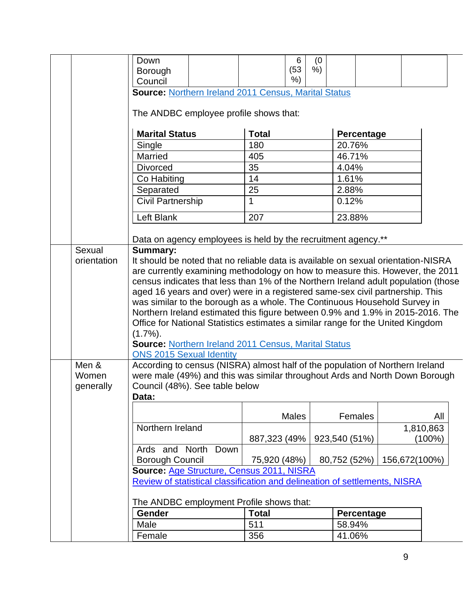|             | Down                                                                               | 6             | (0) |                   |               |           |  |
|-------------|------------------------------------------------------------------------------------|---------------|-----|-------------------|---------------|-----------|--|
|             | Borough                                                                            | (53)<br>$%$ ) | %   |                   |               |           |  |
|             | Council                                                                            |               |     |                   |               |           |  |
|             | Source: Northern Ireland 2011 Census, Marital Status                               |               |     |                   |               |           |  |
|             | The ANDBC employee profile shows that:                                             |               |     |                   |               |           |  |
|             | <b>Marital Status</b>                                                              | <b>Total</b>  |     | Percentage        |               |           |  |
|             | Single                                                                             | 180           |     | 20.76%            |               |           |  |
|             | Married                                                                            | 405           |     | 46.71%            |               |           |  |
|             | <b>Divorced</b>                                                                    | 35            |     | 4.04%             |               |           |  |
|             | Co Habiting                                                                        | 14            |     | 1.61%             |               |           |  |
|             | Separated                                                                          | 25            |     | 2.88%             |               |           |  |
|             | <b>Civil Partnership</b>                                                           | $\mathbf{1}$  |     | 0.12%             |               |           |  |
|             | Left Blank                                                                         | 207           |     | 23.88%            |               |           |  |
|             | Data on agency employees is held by the recruitment agency.**                      |               |     |                   |               |           |  |
| Sexual      | <b>Summary:</b>                                                                    |               |     |                   |               |           |  |
| orientation | It should be noted that no reliable data is available on sexual orientation-NISRA  |               |     |                   |               |           |  |
|             | are currently examining methodology on how to measure this. However, the 2011      |               |     |                   |               |           |  |
|             | census indicates that less than 1% of the Northern Ireland adult population (those |               |     |                   |               |           |  |
|             | aged 16 years and over) were in a registered same-sex civil partnership. This      |               |     |                   |               |           |  |
|             | was similar to the borough as a whole. The Continuous Household Survey in          |               |     |                   |               |           |  |
|             | Northern Ireland estimated this figure between 0.9% and 1.9% in 2015-2016. The     |               |     |                   |               |           |  |
|             | Office for National Statistics estimates a similar range for the United Kingdom    |               |     |                   |               |           |  |
|             | $(1.7\%)$ .                                                                        |               |     |                   |               |           |  |
|             | <b>Source: Northern Ireland 2011 Census, Marital Status</b>                        |               |     |                   |               |           |  |
|             | <b>ONS 2015 Sexual Identity</b>                                                    |               |     |                   |               |           |  |
| Men &       | According to census (NISRA) almost half of the population of Northern Ireland      |               |     |                   |               |           |  |
| Women       | were male (49%) and this was similar throughout Ards and North Down Borough        |               |     |                   |               |           |  |
| generally   | Council (48%). See table below                                                     |               |     |                   |               |           |  |
|             | Data:                                                                              |               |     |                   |               |           |  |
|             |                                                                                    | Males         |     | Females           |               | All       |  |
|             | Northern Ireland                                                                   |               |     |                   |               | 1,810,863 |  |
|             |                                                                                    | 887,323 (49%  |     | 923,540 (51%)     |               | (100%)    |  |
|             | Ards and North<br>Down                                                             |               |     |                   |               |           |  |
|             | <b>Borough Council</b>                                                             | 75,920 (48%)  |     | 80,752 (52%)      | 156,672(100%) |           |  |
|             | Source: Age Structure, Census 2011, NISRA                                          |               |     |                   |               |           |  |
|             | Review of statistical classification and delineation of settlements, NISRA         |               |     |                   |               |           |  |
|             | The ANDBC employment Profile shows that:                                           |               |     |                   |               |           |  |
|             | <b>Gender</b>                                                                      | <b>Total</b>  |     | <b>Percentage</b> |               |           |  |
|             | Male                                                                               | 511           |     | 58.94%            |               |           |  |
|             | Female                                                                             | 356           |     | 41.06%            |               |           |  |

9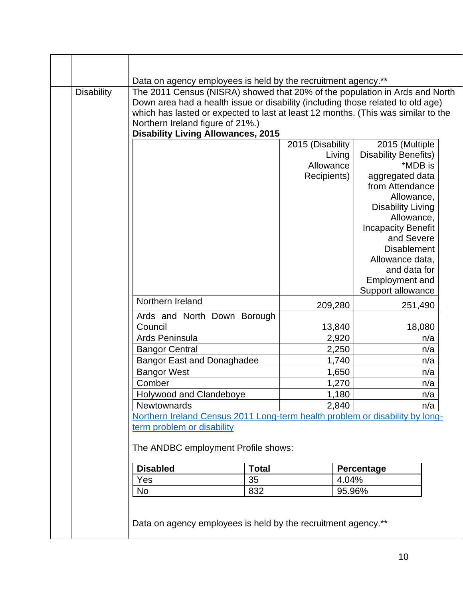|                       | Down area had a health issue or disability (including those related to old age)   |                     |                                        |
|-----------------------|-----------------------------------------------------------------------------------|---------------------|----------------------------------------|
|                       | which has lasted or expected to last at least 12 months. (This was similar to the |                     |                                        |
|                       | Northern Ireland figure of 21%.)                                                  |                     |                                        |
|                       | <b>Disability Living Allowances, 2015</b>                                         |                     |                                        |
|                       |                                                                                   | 2015 (Disability    | 2015 (Multiple                         |
|                       |                                                                                   | Living<br>Allowance | <b>Disability Benefits)</b><br>*MDB is |
|                       |                                                                                   |                     |                                        |
|                       |                                                                                   | Recipients)         | aggregated data<br>from Attendance     |
|                       |                                                                                   |                     |                                        |
|                       |                                                                                   |                     | Allowance,<br><b>Disability Living</b> |
|                       |                                                                                   |                     | Allowance,                             |
|                       |                                                                                   |                     | <b>Incapacity Benefit</b>              |
|                       |                                                                                   |                     | and Severe                             |
|                       |                                                                                   |                     | <b>Disablement</b>                     |
|                       |                                                                                   |                     | Allowance data,                        |
|                       |                                                                                   |                     | and data for                           |
|                       |                                                                                   |                     | <b>Employment and</b>                  |
|                       |                                                                                   |                     | Support allowance                      |
| Northern Ireland      |                                                                                   | 209,280             | 251,490                                |
|                       | Ards and North Down Borough                                                       |                     |                                        |
| Council               |                                                                                   | 13,840              | 18,080                                 |
| Ards Peninsula        |                                                                                   | 2,920               | n/a                                    |
| <b>Bangor Central</b> |                                                                                   | 2,250               | n/a                                    |
|                       | <b>Bangor East and Donaghadee</b>                                                 | 1,740               | n/a                                    |
| <b>Bangor West</b>    |                                                                                   | 1,650               | n/a                                    |
| Comber                |                                                                                   | 1,270               | n/a                                    |
|                       | Holywood and Clandeboye                                                           | 1,180               | n/a                                    |
| Newtownards           |                                                                                   | 2,840               | n/a                                    |
|                       | Northern Ireland Census 2011 Long-term health problem or disability by long-      |                     |                                        |
|                       | term problem or disability                                                        |                     |                                        |
|                       | The ANDBC employment Profile shows:                                               |                     |                                        |
|                       |                                                                                   |                     |                                        |
| <b>Disabled</b>       | <b>Total</b>                                                                      |                     | Percentage                             |
| Yes                   | 35                                                                                | 4.04%               |                                        |
| No                    | 832                                                                               | 95.96%              |                                        |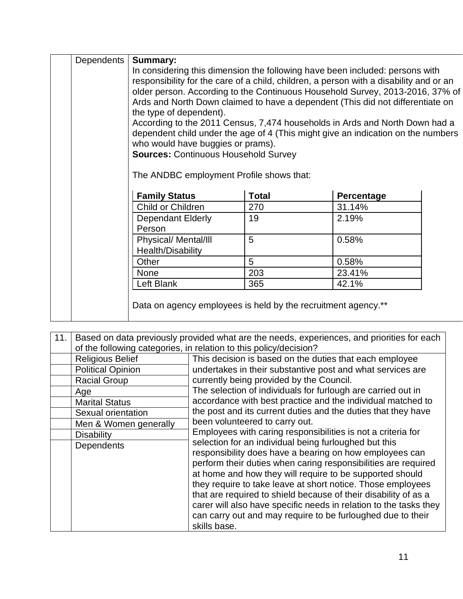| Dependents                                                                                                                                                                                                                                                                                                                                                                                                                                                                                                                                                                                                                                                              | Summary:                                                      |              |            |  |
|-------------------------------------------------------------------------------------------------------------------------------------------------------------------------------------------------------------------------------------------------------------------------------------------------------------------------------------------------------------------------------------------------------------------------------------------------------------------------------------------------------------------------------------------------------------------------------------------------------------------------------------------------------------------------|---------------------------------------------------------------|--------------|------------|--|
| In considering this dimension the following have been included: persons with<br>responsibility for the care of a child, children, a person with a disability and or an<br>older person. According to the Continuous Household Survey, 2013-2016, 37% of<br>Ards and North Down claimed to have a dependent (This did not differentiate on<br>the type of dependent).<br>According to the 2011 Census, 7,474 households in Ards and North Down had a<br>dependent child under the age of 4 (This might give an indication on the numbers<br>who would have buggies or prams).<br><b>Sources: Continuous Household Survey</b><br>The ANDBC employment Profile shows that: |                                                               |              |            |  |
|                                                                                                                                                                                                                                                                                                                                                                                                                                                                                                                                                                                                                                                                         | <b>Family Status</b>                                          | <b>Total</b> | Percentage |  |
|                                                                                                                                                                                                                                                                                                                                                                                                                                                                                                                                                                                                                                                                         | Child or Children                                             | 270          | 31.14%     |  |
|                                                                                                                                                                                                                                                                                                                                                                                                                                                                                                                                                                                                                                                                         | <b>Dependant Elderly</b><br>Person                            | 19           | 2.19%      |  |
|                                                                                                                                                                                                                                                                                                                                                                                                                                                                                                                                                                                                                                                                         | Physical/ Mental/III<br>Health/Disability                     | 5            | 0.58%      |  |
|                                                                                                                                                                                                                                                                                                                                                                                                                                                                                                                                                                                                                                                                         | Other                                                         | 5            | 0.58%      |  |
|                                                                                                                                                                                                                                                                                                                                                                                                                                                                                                                                                                                                                                                                         | <b>None</b>                                                   | 203          | 23.41%     |  |
|                                                                                                                                                                                                                                                                                                                                                                                                                                                                                                                                                                                                                                                                         | Left Blank                                                    | 365          | 42.1%      |  |
|                                                                                                                                                                                                                                                                                                                                                                                                                                                                                                                                                                                                                                                                         | Data on agency employees is held by the recruitment agency.** |              |            |  |

| 11. | Based on data previously provided what are the needs, experiences, and priorities for each<br>of the following categories, in relation to this policy/decision? |                                                                                                                                                                                                                                                                                                                                                                                                                                                                                                                                      |  |  |
|-----|-----------------------------------------------------------------------------------------------------------------------------------------------------------------|--------------------------------------------------------------------------------------------------------------------------------------------------------------------------------------------------------------------------------------------------------------------------------------------------------------------------------------------------------------------------------------------------------------------------------------------------------------------------------------------------------------------------------------|--|--|
|     | <b>Religious Belief</b>                                                                                                                                         | This decision is based on the duties that each employee                                                                                                                                                                                                                                                                                                                                                                                                                                                                              |  |  |
|     | <b>Political Opinion</b>                                                                                                                                        | undertakes in their substantive post and what services are                                                                                                                                                                                                                                                                                                                                                                                                                                                                           |  |  |
|     | <b>Racial Group</b>                                                                                                                                             | currently being provided by the Council.                                                                                                                                                                                                                                                                                                                                                                                                                                                                                             |  |  |
|     | Age                                                                                                                                                             | The selection of individuals for furlough are carried out in                                                                                                                                                                                                                                                                                                                                                                                                                                                                         |  |  |
|     | <b>Marital Status</b>                                                                                                                                           | accordance with best practice and the individual matched to                                                                                                                                                                                                                                                                                                                                                                                                                                                                          |  |  |
|     | Sexual orientation                                                                                                                                              | the post and its current duties and the duties that they have                                                                                                                                                                                                                                                                                                                                                                                                                                                                        |  |  |
|     | Men & Women generally                                                                                                                                           | been volunteered to carry out.                                                                                                                                                                                                                                                                                                                                                                                                                                                                                                       |  |  |
|     | <b>Disability</b>                                                                                                                                               | Employees with caring responsibilities is not a criteria for                                                                                                                                                                                                                                                                                                                                                                                                                                                                         |  |  |
|     | Dependents                                                                                                                                                      | selection for an individual being furloughed but this<br>responsibility does have a bearing on how employees can<br>perform their duties when caring responsibilities are required<br>at home and how they will require to be supported should<br>they require to take leave at short notice. Those employees<br>that are required to shield because of their disability of as a<br>carer will also have specific needs in relation to the tasks they<br>can carry out and may require to be furloughed due to their<br>skills base. |  |  |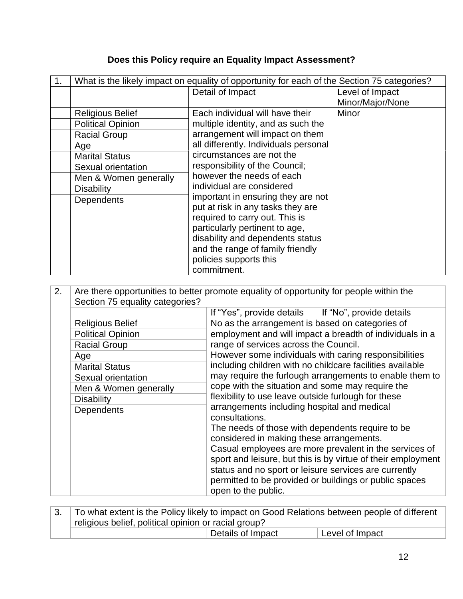# **Does this Policy require an Equality Impact Assessment?**

| 1. | What is the likely impact on equality of opportunity for each of the Section 75 categories? |                                                             |                  |  |  |
|----|---------------------------------------------------------------------------------------------|-------------------------------------------------------------|------------------|--|--|
|    |                                                                                             | Detail of Impact                                            | Level of Impact  |  |  |
|    |                                                                                             |                                                             | Minor/Major/None |  |  |
|    | <b>Religious Belief</b>                                                                     | Each individual will have their                             | Minor            |  |  |
|    | <b>Political Opinion</b>                                                                    | multiple identity, and as such the                          |                  |  |  |
|    | <b>Racial Group</b>                                                                         | arrangement will impact on them                             |                  |  |  |
|    | Age                                                                                         | all differently. Individuals personal                       |                  |  |  |
|    | <b>Marital Status</b>                                                                       | circumstances are not the<br>responsibility of the Council; |                  |  |  |
|    | Sexual orientation                                                                          |                                                             |                  |  |  |
|    | Men & Women generally                                                                       | however the needs of each                                   |                  |  |  |
|    | <b>Disability</b>                                                                           | individual are considered                                   |                  |  |  |
|    | <b>Dependents</b>                                                                           | important in ensuring they are not                          |                  |  |  |
|    |                                                                                             | put at risk in any tasks they are                           |                  |  |  |
|    |                                                                                             | required to carry out. This is                              |                  |  |  |
|    |                                                                                             | particularly pertinent to age,                              |                  |  |  |
|    |                                                                                             | disability and dependents status                            |                  |  |  |
|    |                                                                                             | and the range of family friendly                            |                  |  |  |
|    |                                                                                             | policies supports this                                      |                  |  |  |
|    |                                                                                             | commitment.                                                 |                  |  |  |

| 2. | Are there opportunities to better promote equality of opportunity for people within the |                                                                                                                                                                          |  |  |  |  |
|----|-----------------------------------------------------------------------------------------|--------------------------------------------------------------------------------------------------------------------------------------------------------------------------|--|--|--|--|
|    | Section 75 equality categories?                                                         |                                                                                                                                                                          |  |  |  |  |
|    |                                                                                         | If "Yes", provide details $\parallel$ If "No", provide details                                                                                                           |  |  |  |  |
|    | <b>Religious Belief</b>                                                                 | No as the arrangement is based on categories of                                                                                                                          |  |  |  |  |
|    | <b>Political Opinion</b>                                                                | employment and will impact a breadth of individuals in a                                                                                                                 |  |  |  |  |
|    | <b>Racial Group</b>                                                                     | range of services across the Council.                                                                                                                                    |  |  |  |  |
|    | Age                                                                                     | However some individuals with caring responsibilities                                                                                                                    |  |  |  |  |
|    | <b>Marital Status</b>                                                                   | including children with no childcare facilities available<br>may require the furlough arrangements to enable them to<br>cope with the situation and some may require the |  |  |  |  |
|    | Sexual orientation                                                                      |                                                                                                                                                                          |  |  |  |  |
|    | Men & Women generally                                                                   |                                                                                                                                                                          |  |  |  |  |
|    | <b>Disability</b>                                                                       | flexibility to use leave outside furlough for these<br>arrangements including hospital and medical                                                                       |  |  |  |  |
|    | <b>Dependents</b>                                                                       |                                                                                                                                                                          |  |  |  |  |
|    |                                                                                         | consultations.                                                                                                                                                           |  |  |  |  |
|    |                                                                                         | The needs of those with dependents require to be                                                                                                                         |  |  |  |  |
|    |                                                                                         | considered in making these arrangements.                                                                                                                                 |  |  |  |  |
|    |                                                                                         | Casual employees are more prevalent in the services of                                                                                                                   |  |  |  |  |
|    |                                                                                         | sport and leisure, but this is by virtue of their employment                                                                                                             |  |  |  |  |
|    |                                                                                         | status and no sport or leisure services are currently                                                                                                                    |  |  |  |  |
|    |                                                                                         | permitted to be provided or buildings or public spaces                                                                                                                   |  |  |  |  |
|    |                                                                                         | open to the public.                                                                                                                                                      |  |  |  |  |

| To what extent is the Policy likely to impact on Good Relations between people of different |                   |                 |  |
|---------------------------------------------------------------------------------------------|-------------------|-----------------|--|
| religious belief, political opinion or racial group?                                        |                   |                 |  |
|                                                                                             | Details of Impact | Level of Impact |  |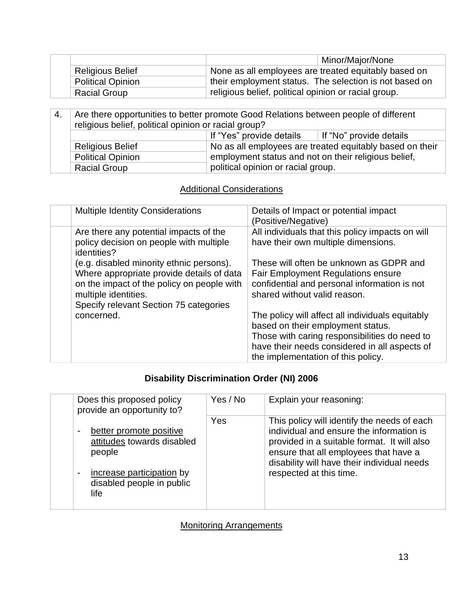|                          | Minor/Major/None                                       |  |
|--------------------------|--------------------------------------------------------|--|
| <b>Religious Belief</b>  | None as all employees are treated equitably based on   |  |
| <b>Political Opinion</b> | their employment status. The selection is not based on |  |
| <b>Racial Group</b>      | religious belief, political opinion or racial group.   |  |

| -4. | Are there opportunities to better promote Good Relations between people of different<br>religious belief, political opinion or racial group? |                                                          |                         |  |  |
|-----|----------------------------------------------------------------------------------------------------------------------------------------------|----------------------------------------------------------|-------------------------|--|--|
|     |                                                                                                                                              | If "Yes" provide details                                 | If "No" provide details |  |  |
|     | <b>Religious Belief</b>                                                                                                                      | No as all employees are treated equitably based on their |                         |  |  |
|     | <b>Political Opinion</b>                                                                                                                     | employment status and not on their religious belief,     |                         |  |  |
|     | <b>Racial Group</b>                                                                                                                          | political opinion or racial group.                       |                         |  |  |

## **Additional Considerations**

| <b>Multiple Identity Considerations</b>                                                                                                                                                               | Details of Impact or potential impact<br>(Positive/Negative)                                                                                                                                                                  |
|-------------------------------------------------------------------------------------------------------------------------------------------------------------------------------------------------------|-------------------------------------------------------------------------------------------------------------------------------------------------------------------------------------------------------------------------------|
| Are there any potential impacts of the<br>policy decision on people with multiple<br>identities?                                                                                                      | All individuals that this policy impacts on will<br>have their own multiple dimensions.                                                                                                                                       |
| (e.g. disabled minority ethnic persons).<br>Where appropriate provide details of data<br>on the impact of the policy on people with<br>multiple identities.<br>Specify relevant Section 75 categories | These will often be unknown as GDPR and<br><b>Fair Employment Regulations ensure</b><br>confidential and personal information is not<br>shared without valid reason.                                                          |
| concerned.                                                                                                                                                                                            | The policy will affect all individuals equitably<br>based on their employment status.<br>Those with caring responsibilities do need to<br>have their needs considered in all aspects of<br>the implementation of this policy. |

## **Disability Discrimination Order (NI) 2006**

| Does this proposed policy<br>provide an opportunity to?         | Yes / No | Explain your reasoning:                                                                                                                                                                                                        |
|-----------------------------------------------------------------|----------|--------------------------------------------------------------------------------------------------------------------------------------------------------------------------------------------------------------------------------|
| better promote positive<br>attitudes towards disabled<br>people | Yes      | This policy will identify the needs of each<br>individual and ensure the information is<br>provided in a suitable format. It will also<br>ensure that all employees that have a<br>disability will have their individual needs |
| increase participation by<br>disabled people in public<br>life  |          | respected at this time.                                                                                                                                                                                                        |

#### Monitoring Arrangements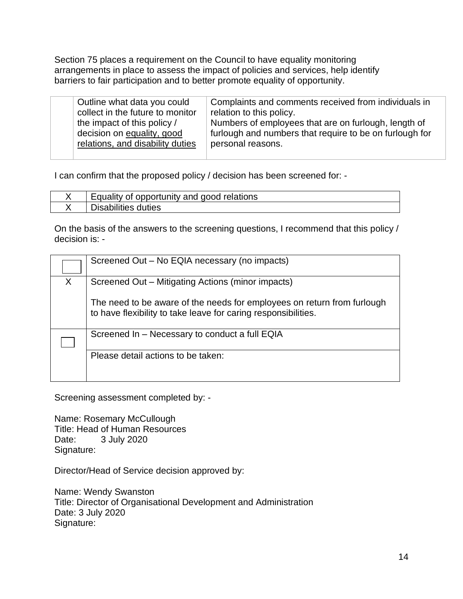Section 75 places a requirement on the Council to have equality monitoring arrangements in place to assess the impact of policies and services, help identify barriers to fair participation and to better promote equality of opportunity.

| Outline what data you could<br>collect in the future to monitor<br>the impact of this policy /<br>decision on equality, good<br>relations, and disability duties | Complaints and comments received from individuals in<br>relation to this policy.<br>Numbers of employees that are on furlough, length of<br>furlough and numbers that require to be on furlough for<br>personal reasons. |
|------------------------------------------------------------------------------------------------------------------------------------------------------------------|--------------------------------------------------------------------------------------------------------------------------------------------------------------------------------------------------------------------------|
|                                                                                                                                                                  |                                                                                                                                                                                                                          |

I can confirm that the proposed policy / decision has been screened for: -

| ' Equality of opportunity and good relations |
|----------------------------------------------|
| duties<br>sabilities                         |

On the basis of the answers to the screening questions, I recommend that this policy / decision is: -

|   | Screened Out - No EQIA necessary (no impacts)                                                                                             |  |
|---|-------------------------------------------------------------------------------------------------------------------------------------------|--|
| X | Screened Out – Mitigating Actions (minor impacts)                                                                                         |  |
|   | The need to be aware of the needs for employees on return from furlough<br>to have flexibility to take leave for caring responsibilities. |  |
|   | Screened In - Necessary to conduct a full EQIA                                                                                            |  |
|   | Please detail actions to be taken:                                                                                                        |  |

Screening assessment completed by: -

Name: Rosemary McCullough Title: Head of Human Resources Date: 3 July 2020 Signature:

Director/Head of Service decision approved by:

Name: Wendy Swanston Title: Director of Organisational Development and Administration Date: 3 July 2020 Signature: